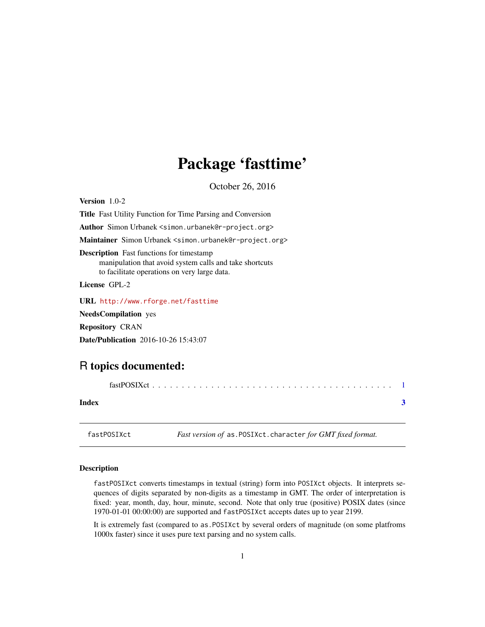# <span id="page-0-0"></span>Package 'fasttime'

October 26, 2016

<span id="page-0-1"></span>Version 1.0-2 Title Fast Utility Function for Time Parsing and Conversion Author Simon Urbanek <simon.urbanek@r-project.org> Maintainer Simon Urbanek <simon.urbanek@r-project.org> Description Fast functions for timestamp manipulation that avoid system calls and take shortcuts to facilitate operations on very large data. License GPL-2 URL <http://www.rforge.net/fasttime>

NeedsCompilation yes Repository CRAN Date/Publication 2016-10-26 15:43:07

## R topics documented:

| Index |  |
|-------|--|
|       |  |

fastPOSIXct *Fast version of* as.POSIXct.character *for GMT fixed format.*

### Description

fastPOSIXct converts timestamps in textual (string) form into POSIXct objects. It interprets sequences of digits separated by non-digits as a timestamp in GMT. The order of interpretation is fixed: year, month, day, hour, minute, second. Note that only true (positive) POSIX dates (since 1970-01-01 00:00:00) are supported and fastPOSIXct accepts dates up to year 2199.

It is extremely fast (compared to as.POSIXct by several orders of magnitude (on some platfroms 1000x faster) since it uses pure text parsing and no system calls.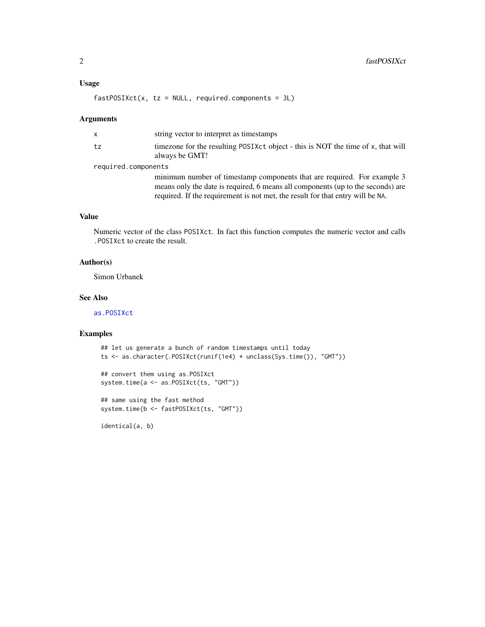<span id="page-1-0"></span> $fastPOSIXct(x, tz = NULL, required.components = 3L)$ 

#### Arguments

|       | X                   | string vector to interpret as timestamps                                                                                                                                                                                                     |  |
|-------|---------------------|----------------------------------------------------------------------------------------------------------------------------------------------------------------------------------------------------------------------------------------------|--|
|       | tz                  | timezone for the resulting POSIXct object - this is NOT the time of x, that will<br>always be GMT!                                                                                                                                           |  |
|       | required.components |                                                                                                                                                                                                                                              |  |
|       |                     | minimum number of timestamp components that are required. For example 3<br>means only the date is required, 6 means all components (up to the seconds) are<br>required. If the requirement is not met, the result for that entry will be NA. |  |
| Value |                     |                                                                                                                                                                                                                                              |  |

Numeric vector of the class POSIXct. In fact this function computes the numeric vector and calls .POSIXct to create the result.

#### Author(s)

Simon Urbanek

#### See Also

[as.POSIXct](#page-0-1)

#### Examples

```
## let us generate a bunch of random timestamps until today
ts <- as.character(.POSIXct(runif(1e4) * unclass(Sys.time()), "GMT"))
```

```
## convert them using as.POSIXct
system.time(a <- as.POSIXct(ts, "GMT"))
```

```
## same using the fast method
system.time(b <- fastPOSIXct(ts, "GMT"))
```
identical(a, b)